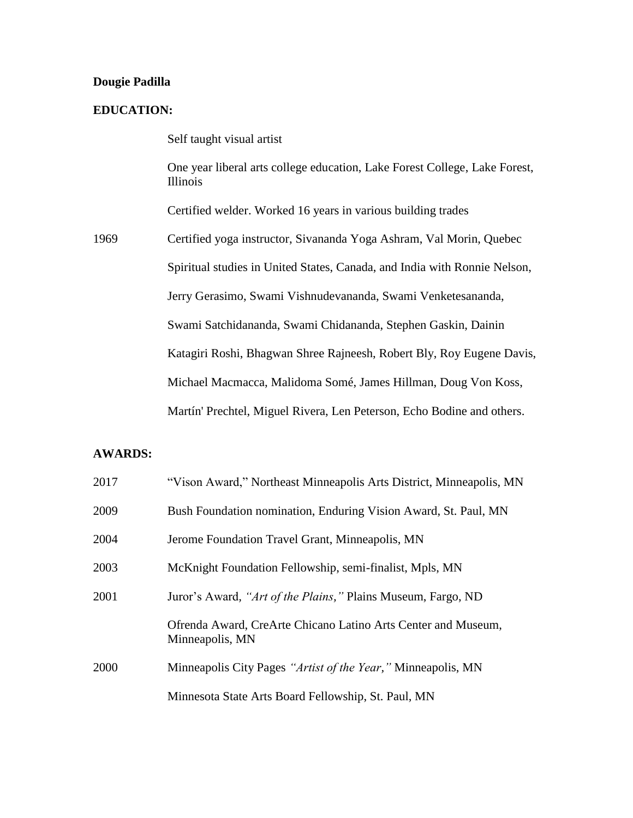### **Dougie Padilla**

### **EDUCATION:**

Self taught visual artist

One year liberal arts college education, Lake Forest College, Lake Forest, Illinois

Certified welder. Worked 16 years in various building trades

1969 Certified yoga instructor, Sivananda Yoga Ashram, Val Morin, Quebec Spiritual studies in United States, Canada, and India with Ronnie Nelson, Jerry Gerasimo, Swami Vishnudevananda, Swami Venketesananda, Swami Satchidananda, Swami Chidananda, Stephen Gaskin, Dainin Katagiri Roshi, Bhagwan Shree Rajneesh, Robert Bly, Roy Eugene Davis, Michael Macmacca, Malidoma Somé, James Hillman, Doug Von Koss, Martín' Prechtel, Miguel Rivera, Len Peterson, Echo Bodine and others.

### **AWARDS:**

| 2017 | "Vison Award," Northeast Minneapolis Arts District, Minneapolis, MN              |
|------|----------------------------------------------------------------------------------|
| 2009 | Bush Foundation nomination, Enduring Vision Award, St. Paul, MN                  |
| 2004 | Jerome Foundation Travel Grant, Minneapolis, MN                                  |
| 2003 | McKnight Foundation Fellowship, semi-finalist, Mpls, MN                          |
| 2001 | Juror's Award, "Art of the Plains," Plains Museum, Fargo, ND                     |
|      | Ofrenda Award, CreArte Chicano Latino Arts Center and Museum,<br>Minneapolis, MN |
| 2000 | Minneapolis City Pages "Artist of the Year," Minneapolis, MN                     |
|      | Minnesota State Arts Board Fellowship, St. Paul, MN                              |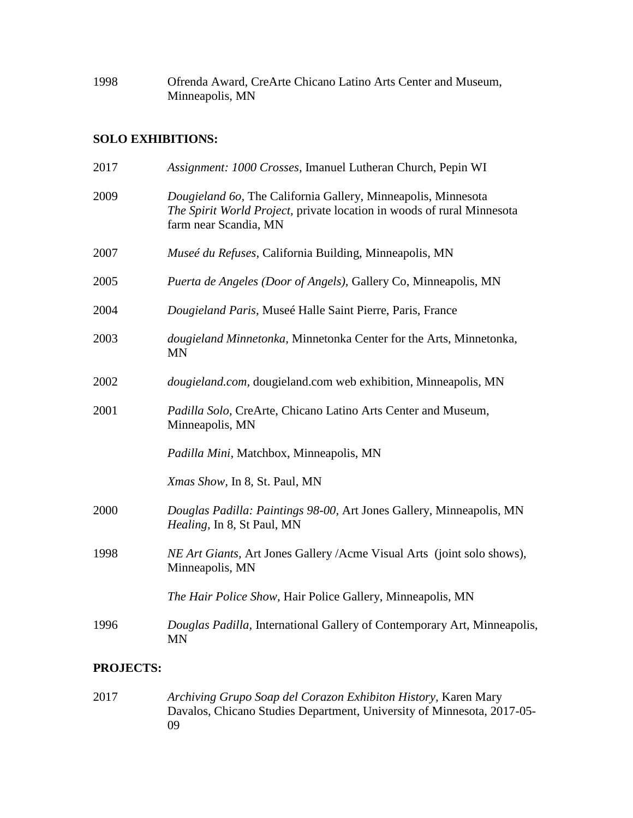| 1998 | Ofrenda Award, CreArte Chicano Latino Arts Center and Museum, |
|------|---------------------------------------------------------------|
|      | Minneapolis, MN                                               |

## **SOLO EXHIBITIONS:**

| Assignment: 1000 Crosses, Imanuel Lutheran Church, Pepin WI                                                                                                      |
|------------------------------------------------------------------------------------------------------------------------------------------------------------------|
| Dougieland 60, The California Gallery, Minneapolis, Minnesota<br>The Spirit World Project, private location in woods of rural Minnesota<br>farm near Scandia, MN |
| Museé du Refuses, California Building, Minneapolis, MN                                                                                                           |
| Puerta de Angeles (Door of Angels), Gallery Co, Minneapolis, MN                                                                                                  |
| Dougieland Paris, Museé Halle Saint Pierre, Paris, France                                                                                                        |
| dougieland Minnetonka, Minnetonka Center for the Arts, Minnetonka,<br><b>MN</b>                                                                                  |
| <i>dougieland.com, dougieland.com web exhibition, Minneapolis, MN</i>                                                                                            |
| Padilla Solo, CreArte, Chicano Latino Arts Center and Museum,<br>Minneapolis, MN                                                                                 |
| Padilla Mini, Matchbox, Minneapolis, MN                                                                                                                          |
| Xmas Show, In 8, St. Paul, MN                                                                                                                                    |
| Douglas Padilla: Paintings 98-00, Art Jones Gallery, Minneapolis, MN<br>Healing, In 8, St Paul, MN                                                               |
| NE Art Giants, Art Jones Gallery / Acme Visual Arts (joint solo shows),<br>Minneapolis, MN                                                                       |
| The Hair Police Show, Hair Police Gallery, Minneapolis, MN                                                                                                       |
| Douglas Padilla, International Gallery of Contemporary Art, Minneapolis,<br><b>MN</b>                                                                            |
|                                                                                                                                                                  |

# **PROJECTS:**

2017 *Archiving Grupo Soap del Corazon Exhibiton History,* Karen Mary Davalos, Chicano Studies Department, University of Minnesota, 2017-05- 09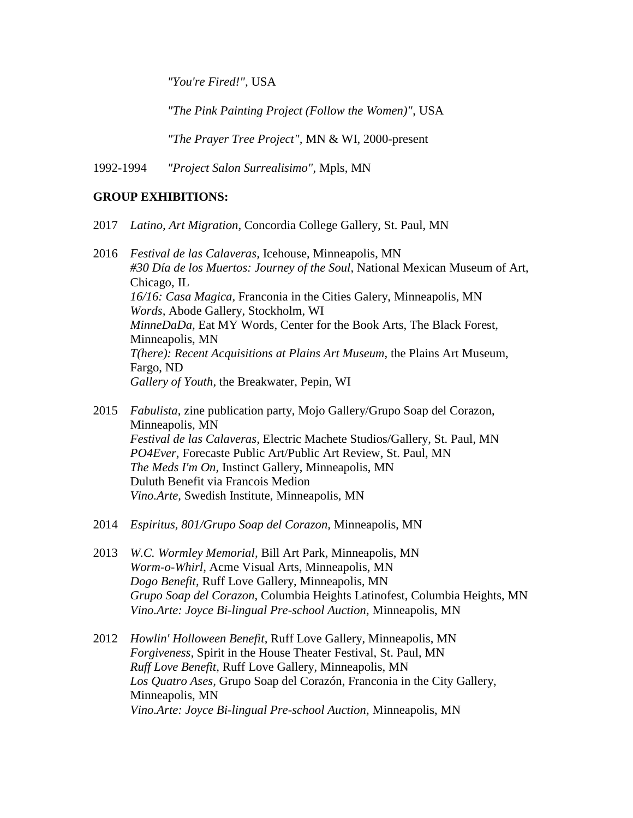*"You're Fired!",* USA

*"The Pink Painting Project (Follow the Women)"*, USA

*"The Prayer Tree Project",* MN & WI, 2000-present

1992-1994 *"Project Salon Surrealisimo",* Mpls, MN

### **GROUP EXHIBITIONS:**

2017 *Latino, Art Migration,* Concordia College Gallery, St. Paul, MN

2016 *Festival de las Calaveras,* Icehouse, Minneapolis, MN *#30 Día de los Muertos: Journey of the Soul,* National Mexican Museum of Art, Chicago, IL *16/16: Casa Magica,* Franconia in the Cities Galery, Minneapolis, MN *Words,* Abode Gallery, Stockholm, WI *MinneDaDa,* Eat MY Words, Center for the Book Arts, The Black Forest, Minneapolis, MN *T(here): Recent Acquisitions at Plains Art Museum,* the Plains Art Museum, Fargo, ND *Gallery of Youth,* the Breakwater, Pepin, WI

- 2015 *Fabulista*, zine publication party, Mojo Gallery/Grupo Soap del Corazon, Minneapolis, MN *Festival de las Calaveras,* Electric Machete Studios/Gallery, St. Paul, MN *PO4Ever*, Forecaste Public Art/Public Art Review, St. Paul, MN *The Meds I'm On,* Instinct Gallery, Minneapolis, MN Duluth Benefit via Francois Medion *Vino.Arte,* Swedish Institute, Minneapolis, MN
- 2014 *Espiritus, 801/Grupo Soap del Corazon,* Minneapolis, MN
- 2013 *W.C. Wormley Memorial,* Bill Art Park, Minneapolis, MN *Worm-o-Whirl*, Acme Visual Arts, Minneapolis, MN *Dogo Benefit,* Ruff Love Gallery, Minneapolis, MN *Grupo Soap del Corazon*, Columbia Heights Latinofest, Columbia Heights, MN *Vino.Arte: Joyce Bi-lingual Pre-school Auction,* Minneapolis, MN
- 2012 *Howlin' Holloween Benefit,* Ruff Love Gallery, Minneapolis, MN *Forgiveness,* Spirit in the House Theater Festival, St. Paul, MN *Ruff Love Benefit,* Ruff Love Gallery, Minneapolis, MN *Los Quatro Ases,* Grupo Soap del Corazón, Franconia in the City Gallery, Minneapolis, MN *Vino.Arte: Joyce Bi-lingual Pre-school Auction,* Minneapolis, MN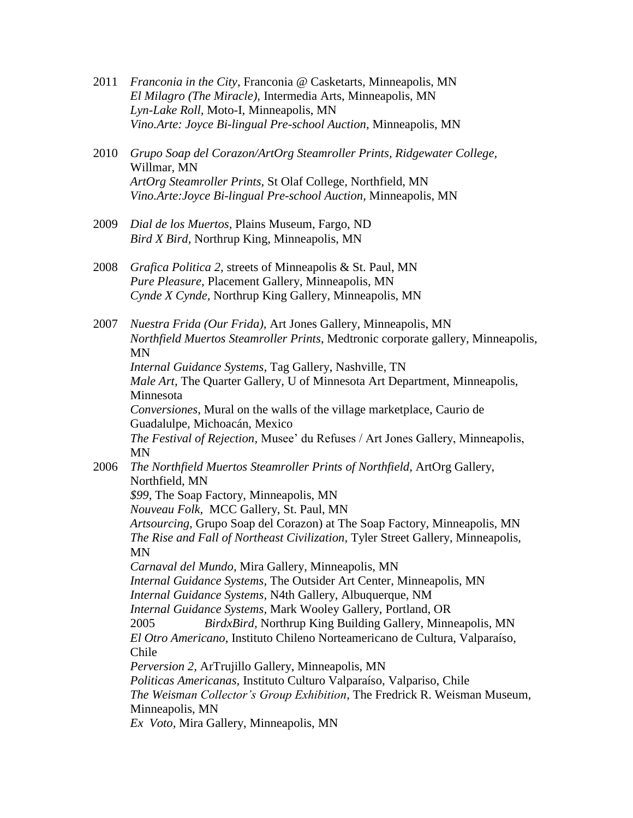- 2011 *Franconia in the City,* Franconia @ Casketarts*,* Minneapolis, MN *El Milagro (The Miracle),* Intermedia Arts, Minneapolis, MN *Lyn-Lake Roll,* Moto-I, Minneapolis, MN *Vino.Arte: Joyce Bi-lingual Pre-school Auction,* Minneapolis, MN
- 2010 *Grupo Soap del Corazon/ArtOrg Steamroller Prints, Ridgewater College,*  Willmar, MN *ArtOrg Steamroller Prints,* St Olaf College*,* Northfield, MN *Vino.Arte:Joyce Bi-lingual Pre-school Auction,* Minneapolis, MN
- 2009 *Dial de los Muertos,* Plains Museum, Fargo, ND *Bird X Bird,* Northrup King, Minneapolis, MN
- 2008 *Grafica Politica 2,* streets of Minneapolis & St. Paul, MN *Pure Pleasure,* Placement Gallery, Minneapolis, MN *Cynde X Cynde,* Northrup King Gallery, Minneapolis, MN

2007 *Nuestra Frida (Our Frida),* Art Jones Gallery, Minneapolis, MN *Northfield Muertos Steamroller Prints,* Medtronic corporate gallery, Minneapolis, MN *Internal Guidance Systems,* Tag Gallery, Nashville, TN *Male Art*, The Quarter Gallery, U of Minnesota Art Department, Minneapolis, Minnesota *Conversiones,* Mural on the walls of the village marketplace, Caurio de Guadalulpe, Michoacán, Mexico *The Festival of Rejection,* Musee' du Refuses / Art Jones Gallery, Minneapolis, MN

2006 *The Northfield Muertos Steamroller Prints of Northfield,* ArtOrg Gallery, Northfield, MN

*\$99,* The Soap Factory, Minneapolis, MN

*Nouveau Folk,* MCC Gallery, St. Paul, MN

*Artsourcing,* Grupo Soap del Corazon) at The Soap Factory, Minneapolis, MN *The Rise and Fall of Northeast Civilization,* Tyler Street Gallery, Minneapolis, MN

*Carnaval del Mundo,* Mira Gallery, Minneapolis, MN

*Internal Guidance Systems,* The Outsider Art Center, Minneapolis, MN

*Internal Guidance Systems,* N4th Gallery, Albuquerque, NM

*Internal Guidance Systems,* Mark Wooley Gallery, Portland, OR

2005 *BirdxBird,* Northrup King Building Gallery, Minneapolis, MN *El Otro Americano*, Instituto Chileno Norteamericano de Cultura, Valparaíso,

Chile

*Perversion 2,* ArTrujillo Gallery, Minneapolis, MN

*Politicas Americanas,* Instituto Culturo Valparaíso, Valpariso, Chile

*The Weisman Collector's Group Exhibition,* The Fredrick R. Weisman Museum, Minneapolis, MN

*Ex Voto,* Mira Gallery, Minneapolis, MN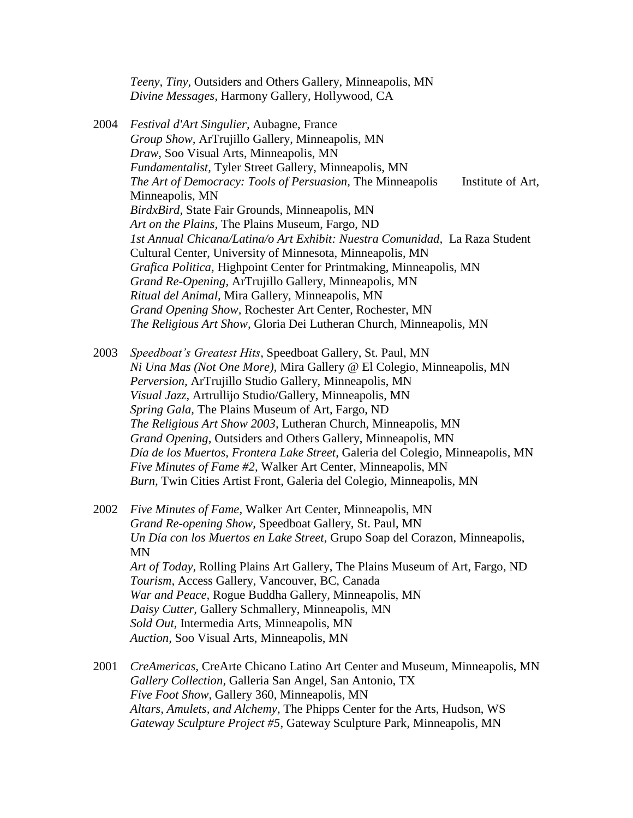*Teeny, Tiny,* Outsiders and Others Gallery, Minneapolis, MN *Divine Messages,* Harmony Gallery, Hollywood, CA

- 2004 *Festival d'Art Singulier,* Aubagne, France *Group Show,* ArTrujillo Gallery, Minneapolis, MN *Draw,* Soo Visual Arts, Minneapolis, MN *Fundamentalist,* Tyler Street Gallery, Minneapolis, MN *The Art of Democracy: Tools of Persuasion,* The Minneapolis Institute of Art, Minneapolis, MN *BirdxBird,* State Fair Grounds, Minneapolis, MN *Art on the Plains,* The Plains Museum, Fargo, ND *1st Annual Chicana/Latina/o Art Exhibit: Nuestra Comunidad,* La Raza Student Cultural Center, University of Minnesota, Minneapolis, MN *Grafica Politica,* Highpoint Center for Printmaking, Minneapolis, MN *Grand Re-Opening,* ArTrujillo Gallery, Minneapolis, MN *Ritual del Animal,* Mira Gallery, Minneapolis, MN *Grand Opening Show,* Rochester Art Center, Rochester, MN *The Religious Art Show,* Gloria Dei Lutheran Church, Minneapolis, MN
- 2003 *Speedboat's Greatest Hits,* Speedboat Gallery, St. Paul, MN *Ni Una Mas (Not One More),* Mira Gallery @ El Colegio, Minneapolis, MN *Perversion,* ArTrujillo Studio Gallery, Minneapolis, MN *Visual Jazz,* Artrullijo Studio/Gallery, Minneapolis, MN *Spring Gala,* The Plains Museum of Art, Fargo, ND *The Religious Art Show 2003,* Lutheran Church, Minneapolis, MN *Grand Opening,* Outsiders and Others Gallery, Minneapolis, MN *Día de los Muertos, Frontera Lake Street,* Galeria del Colegio, Minneapolis, MN *Five Minutes of Fame #2,* Walker Art Center, Minneapolis, MN *Burn,* Twin Cities Artist Front, Galeria del Colegio, Minneapolis, MN
- 2002 *Five Minutes of Fame,* Walker Art Center, Minneapolis, MN *Grand Re-opening Show,* Speedboat Gallery, St. Paul, MN *Un Día con los Muertos en Lake Street,* Grupo Soap del Corazon, Minneapolis, MN *Art of Today,* Rolling Plains Art Gallery, The Plains Museum of Art, Fargo, ND *Tourism,* Access Gallery, Vancouver, BC, Canada *War and Peace,* Rogue Buddha Gallery, Minneapolis, MN *Daisy Cutter,* Gallery Schmallery, Minneapolis, MN *Sold Out,* Intermedia Arts, Minneapolis, MN *Auction,* Soo Visual Arts, Minneapolis, MN
- 2001 *CreAmericas,* CreArte Chicano Latino Art Center and Museum, Minneapolis, MN *Gallery Collection,* Galleria San Angel, San Antonio, TX *Five Foot Show,* Gallery 360, Minneapolis, MN *Altars, Amulets, and Alchemy,* The Phipps Center for the Arts, Hudson, WS *Gateway Sculpture Project #5,* Gateway Sculpture Park, Minneapolis, MN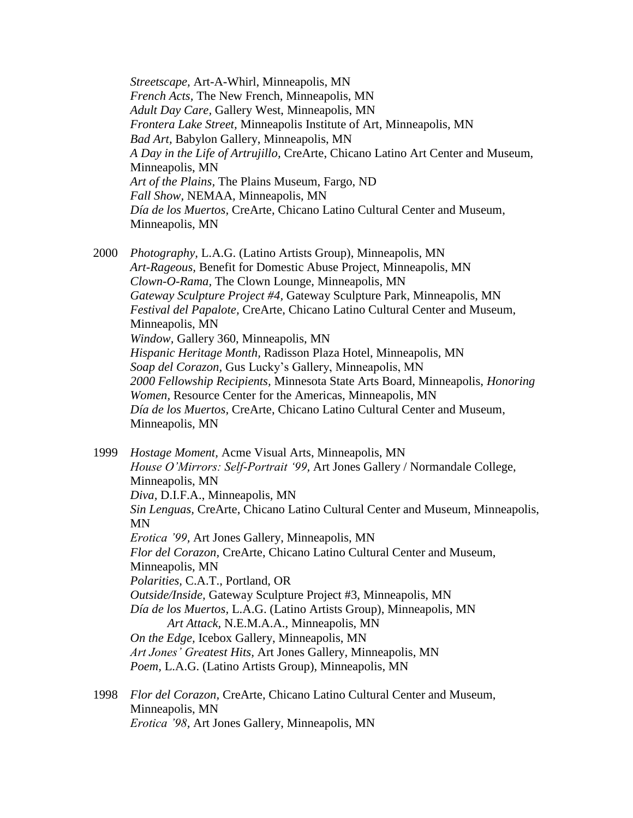*Streetscape,* Art-A-Whirl, Minneapolis, MN *French Acts,* The New French, Minneapolis, MN *Adult Day Care,* Gallery West, Minneapolis, MN *Frontera Lake Street,* Minneapolis Institute of Art, Minneapolis, MN *Bad Art,* Babylon Gallery, Minneapolis, MN *A Day in the Life of Artrujillo,* CreArte, Chicano Latino Art Center and Museum, Minneapolis, MN *Art of the Plains,* The Plains Museum, Fargo, ND *Fall Show,* NEMAA, Minneapolis, MN *Día de los Muertos,* CreArte, Chicano Latino Cultural Center and Museum, Minneapolis, MN

- 2000 *Photography,* L.A.G. (Latino Artists Group), Minneapolis, MN *Art-Rageous,* Benefit for Domestic Abuse Project, Minneapolis, MN *Clown-O-Rama,* The Clown Lounge, Minneapolis, MN *Gateway Sculpture Project #4,* Gateway Sculpture Park, Minneapolis, MN *Festival del Papalote,* CreArte, Chicano Latino Cultural Center and Museum, Minneapolis, MN *Window,* Gallery 360, Minneapolis, MN *Hispanic Heritage Month,* Radisson Plaza Hotel, Minneapolis, MN *Soap del Corazon,* Gus Lucky's Gallery, Minneapolis, MN *2000 Fellowship Recipients,* Minnesota State Arts Board, Minneapolis, *Honoring Women,* Resource Center for the Americas, Minneapolis, MN *Día de los Muertos,* CreArte, Chicano Latino Cultural Center and Museum, Minneapolis, MN
- 1999 *Hostage Moment,* Acme Visual Arts, Minneapolis, MN *House O'Mirrors: Self-Portrait '99,* Art Jones Gallery / Normandale College, Minneapolis, MN *Diva,* D.I.F.A., Minneapolis, MN *Sin Lenguas,* CreArte, Chicano Latino Cultural Center and Museum, Minneapolis, MN *Erotica '99,* Art Jones Gallery, Minneapolis, MN *Flor del Corazon,* CreArte, Chicano Latino Cultural Center and Museum, Minneapolis, MN *Polarities,* C.A.T., Portland, OR *Outside/Inside,* Gateway Sculpture Project #3, Minneapolis, MN *Día de los Muertos,* L.A.G. (Latino Artists Group), Minneapolis, MN *Art Attack,* N.E.M.A.A., Minneapolis, MN *On the Edge,* Icebox Gallery, Minneapolis, MN *Art Jones' Greatest Hits,* Art Jones Gallery, Minneapolis, MN *Poem,* L.A.G. (Latino Artists Group), Minneapolis, MN
- 1998 *Flor del Corazon,* CreArte, Chicano Latino Cultural Center and Museum, Minneapolis, MN *Erotica '98,* Art Jones Gallery, Minneapolis, MN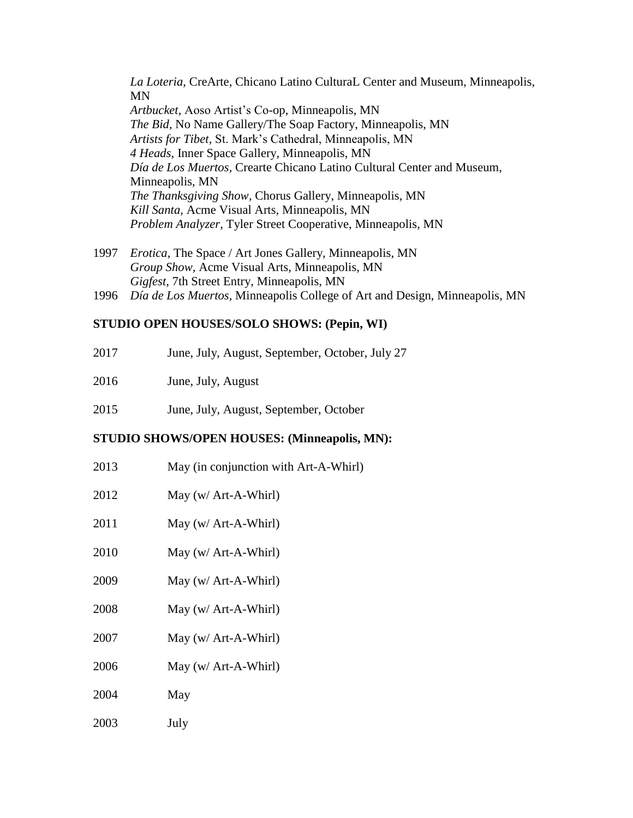*La Loteria,* CreArte, Chicano Latino CulturaL Center and Museum, Minneapolis, MN *Artbucket,* Aoso Artist's Co-op, Minneapolis, MN *The Bid,* No Name Gallery/The Soap Factory, Minneapolis, MN *Artists for Tibet,* St. Mark's Cathedral, Minneapolis, MN *4 Heads,* Inner Space Gallery, Minneapolis, MN *Día de Los Muertos,* Crearte Chicano Latino Cultural Center and Museum, Minneapolis, MN *The Thanksgiving Show,* Chorus Gallery, Minneapolis, MN *Kill Santa,* Acme Visual Arts, Minneapolis, MN *Problem Analyzer,* Tyler Street Cooperative, Minneapolis, MN

- 1997 *Erotica,* The Space / Art Jones Gallery, Minneapolis, MN *Group Show,* Acme Visual Arts, Minneapolis, MN *Gigfest,* 7th Street Entry, Minneapolis, MN
- 1996 *Día de Los Muertos,* Minneapolis College of Art and Design, Minneapolis, MN

### **STUDIO OPEN HOUSES/SOLO SHOWS: (Pepin, WI)**

- 2017 June, July, August, September, October, July 27
- 2016 June, July, August
- 2015 June, July, August, September, October

### **STUDIO SHOWS/OPEN HOUSES: (Minneapolis, MN):**

- 2013 May (in conjunction with Art-A-Whirl)
- 2012 May (w/ Art-A-Whirl)
- 2011 May (w/ Art-A-Whirl)
- 2010 May (w/ Art-A-Whirl)
- 2009 May (w/ Art-A-Whirl)
- 2008 May (w/ Art-A-Whirl)
- 2007 May (w/ Art-A-Whirl)
- 2006 May (w/ Art-A-Whirl)
- 2004 May
- 2003 July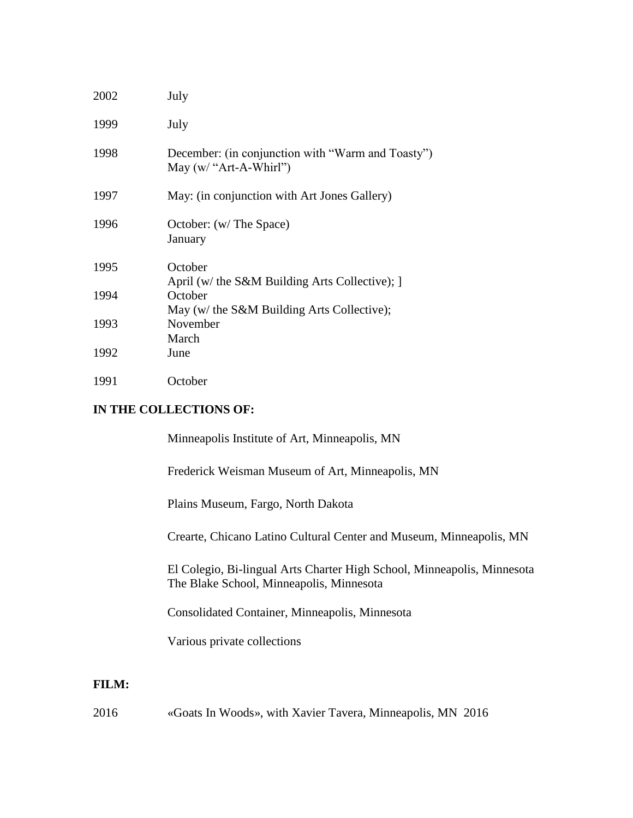| 2002 | July                                                                          |
|------|-------------------------------------------------------------------------------|
| 1999 | July                                                                          |
| 1998 | December: (in conjunction with "Warm and Toasty")<br>May $(w/ "Art-A-Whirl")$ |
| 1997 | May: (in conjunction with Art Jones Gallery)                                  |
| 1996 | October: (w/ The Space)<br>January                                            |
| 1995 | October<br>April (w/ the S&M Building Arts Collective); ]                     |
| 1994 | October<br>May (w/ the S&M Building Arts Collective);                         |
| 1993 | November<br>March                                                             |
| 1992 | June                                                                          |
| 1991 | October                                                                       |

## **IN THE COLLECTIONS OF:**

| Minneapolis Institute of Art, Minneapolis, MN                                                                       |
|---------------------------------------------------------------------------------------------------------------------|
| Frederick Weisman Museum of Art, Minneapolis, MN                                                                    |
| Plains Museum, Fargo, North Dakota                                                                                  |
| Crearte, Chicano Latino Cultural Center and Museum, Minneapolis, MN                                                 |
| El Colegio, Bi-lingual Arts Charter High School, Minneapolis, Minnesota<br>The Blake School, Minneapolis, Minnesota |
| Consolidated Container, Minneapolis, Minnesota                                                                      |
| Various private collections                                                                                         |
|                                                                                                                     |

# **FILM:**

2016 «Goats In Woods», with Xavier Tavera, Minneapolis, MN 2016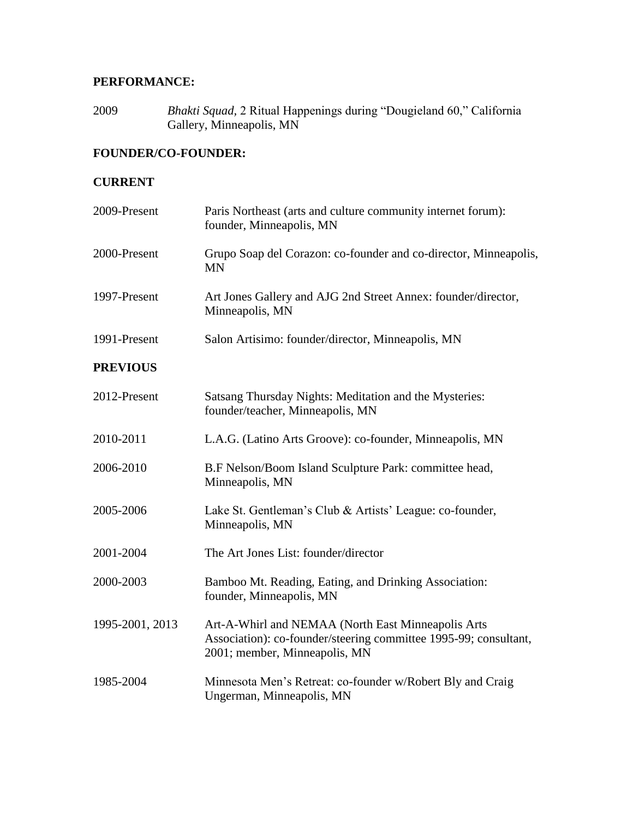# **PERFORMANCE:**

2009 *Bhakti Squad,* 2 Ritual Happenings during "Dougieland 60," California Gallery, Minneapolis, MN

## **FOUNDER/CO-FOUNDER:**

## **CURRENT**

| 2009-Present    | Paris Northeast (arts and culture community internet forum):<br>founder, Minneapolis, MN                                                                |
|-----------------|---------------------------------------------------------------------------------------------------------------------------------------------------------|
| 2000-Present    | Grupo Soap del Corazon: co-founder and co-director, Minneapolis,<br><b>MN</b>                                                                           |
| 1997-Present    | Art Jones Gallery and AJG 2nd Street Annex: founder/director,<br>Minneapolis, MN                                                                        |
| 1991-Present    | Salon Artisimo: founder/director, Minneapolis, MN                                                                                                       |
| <b>PREVIOUS</b> |                                                                                                                                                         |
| 2012-Present    | Satsang Thursday Nights: Meditation and the Mysteries:<br>founder/teacher, Minneapolis, MN                                                              |
| 2010-2011       | L.A.G. (Latino Arts Groove): co-founder, Minneapolis, MN                                                                                                |
| 2006-2010       | B.F Nelson/Boom Island Sculpture Park: committee head,<br>Minneapolis, MN                                                                               |
| 2005-2006       | Lake St. Gentleman's Club & Artists' League: co-founder,<br>Minneapolis, MN                                                                             |
| 2001-2004       | The Art Jones List: founder/director                                                                                                                    |
| 2000-2003       | Bamboo Mt. Reading, Eating, and Drinking Association:<br>founder, Minneapolis, MN                                                                       |
| 1995-2001, 2013 | Art-A-Whirl and NEMAA (North East Minneapolis Arts<br>Association): co-founder/steering committee 1995-99; consultant,<br>2001; member, Minneapolis, MN |
| 1985-2004       | Minnesota Men's Retreat: co-founder w/Robert Bly and Craig<br>Ungerman, Minneapolis, MN                                                                 |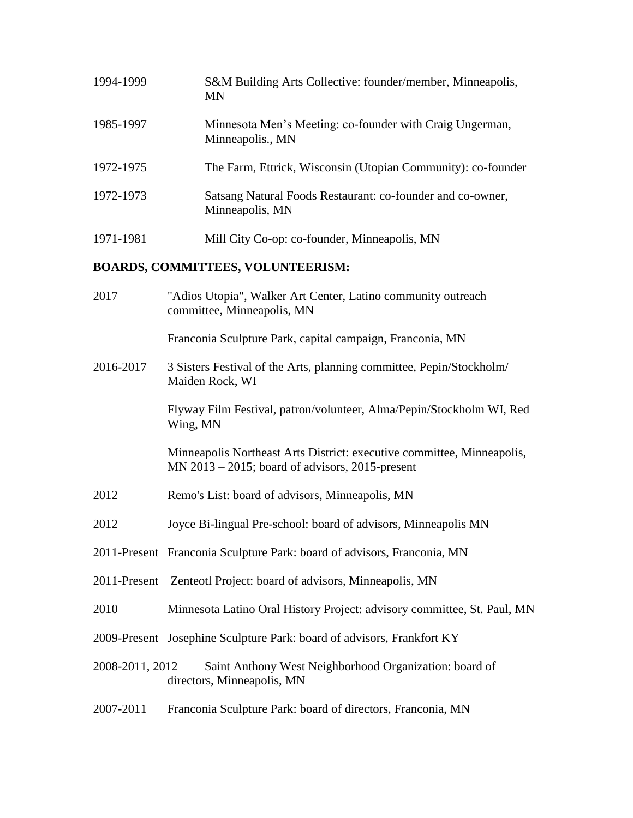| 1994-1999    | S&M Building Arts Collective: founder/member, Minneapolis,<br><b>MN</b>                                                     |
|--------------|-----------------------------------------------------------------------------------------------------------------------------|
| 1985-1997    | Minnesota Men's Meeting: co-founder with Craig Ungerman,<br>Minneapolis., MN                                                |
| 1972-1975    | The Farm, Ettrick, Wisconsin (Utopian Community): co-founder                                                                |
| 1972-1973    | Satsang Natural Foods Restaurant: co-founder and co-owner,<br>Minneapolis, MN                                               |
| 1971-1981    | Mill City Co-op: co-founder, Minneapolis, MN                                                                                |
|              | <b>BOARDS, COMMITTEES, VOLUNTEERISM:</b>                                                                                    |
| 2017         | "Adios Utopia", Walker Art Center, Latino community outreach<br>committee, Minneapolis, MN                                  |
|              | Franconia Sculpture Park, capital campaign, Franconia, MN                                                                   |
| 2016-2017    | 3 Sisters Festival of the Arts, planning committee, Pepin/Stockholm/<br>Maiden Rock, WI                                     |
|              | Flyway Film Festival, patron/volunteer, Alma/Pepin/Stockholm WI, Red<br>Wing, MN                                            |
|              | Minneapolis Northeast Arts District: executive committee, Minneapolis,<br>$MN$ 2013 – 2015; board of advisors, 2015-present |
| 2012         | Remo's List: board of advisors, Minneapolis, MN                                                                             |
| 2012         | Joyce Bi-lingual Pre-school: board of advisors, Minneapolis MN                                                              |
|              | 2011-Present Franconia Sculpture Park: board of advisors, Franconia, MN                                                     |
| 2011-Present | Zenteotl Project: board of advisors, Minneapolis, MN                                                                        |

- 2010 Minnesota Latino Oral History Project: advisory committee, St. Paul, MN
- 2009-Present Josephine Sculpture Park: board of advisors, Frankfort KY
- 2008-2011, 2012 Saint Anthony West Neighborhood Organization: board of directors, Minneapolis, MN
- 2007-2011 Franconia Sculpture Park: board of directors, Franconia, MN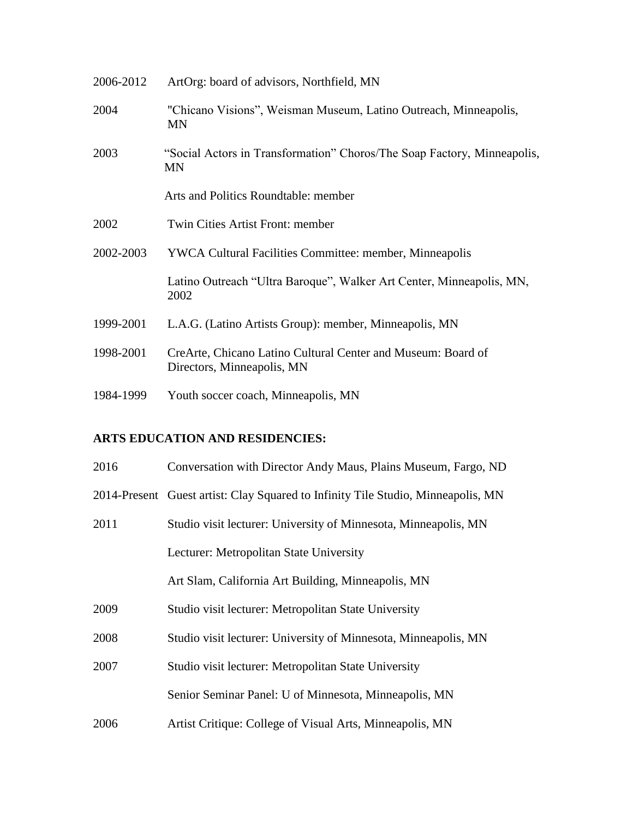| 2006-2012 | ArtOrg: board of advisors, Northfield, MN                                                  |
|-----------|--------------------------------------------------------------------------------------------|
| 2004      | "Chicano Visions", Weisman Museum, Latino Outreach, Minneapolis,<br>MN                     |
| 2003      | "Social Actors in Transformation" Choros/The Soap Factory, Minneapolis,<br>MN              |
|           | Arts and Politics Roundtable: member                                                       |
| 2002      | Twin Cities Artist Front: member                                                           |
| 2002-2003 | <b>YWCA Cultural Facilities Committee: member, Minneapolis</b>                             |
|           | Latino Outreach "Ultra Baroque", Walker Art Center, Minneapolis, MN,<br>2002               |
| 1999-2001 | L.A.G. (Latino Artists Group): member, Minneapolis, MN                                     |
| 1998-2001 | CreArte, Chicano Latino Cultural Center and Museum: Board of<br>Directors, Minneapolis, MN |
| 1984-1999 | Youth soccer coach, Minneapolis, MN                                                        |

## **ARTS EDUCATION AND RESIDENCIES:**

| 2016 | Conversation with Director Andy Maus, Plains Museum, Fargo, ND                   |
|------|----------------------------------------------------------------------------------|
|      | 2014-Present Guest artist: Clay Squared to Infinity Tile Studio, Minneapolis, MN |
| 2011 | Studio visit lecturer: University of Minnesota, Minneapolis, MN                  |
|      | Lecturer: Metropolitan State University                                          |
|      | Art Slam, California Art Building, Minneapolis, MN                               |
| 2009 | Studio visit lecturer: Metropolitan State University                             |
| 2008 | Studio visit lecturer: University of Minnesota, Minneapolis, MN                  |
| 2007 | Studio visit lecturer: Metropolitan State University                             |
|      | Senior Seminar Panel: U of Minnesota, Minneapolis, MN                            |
| 2006 | Artist Critique: College of Visual Arts, Minneapolis, MN                         |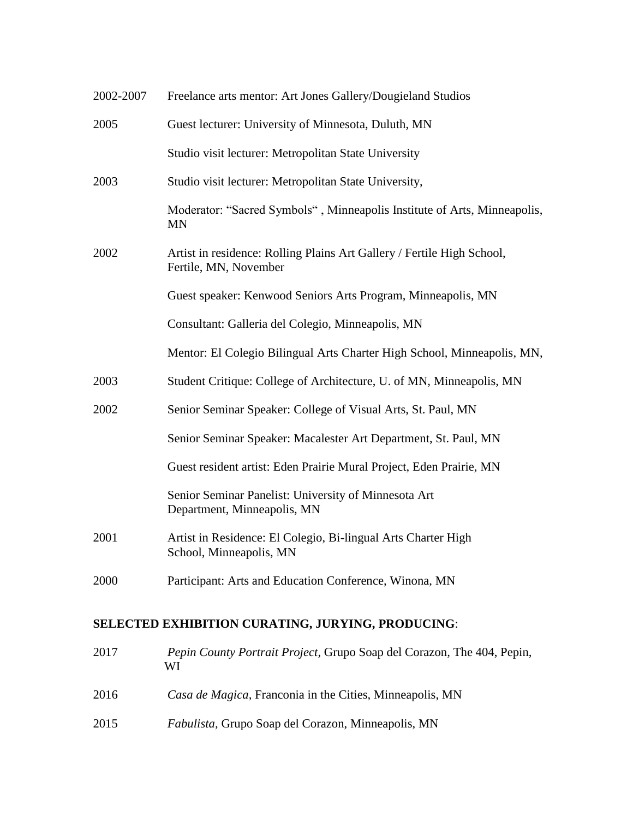| 2002-2007 | Freelance arts mentor: Art Jones Gallery/Dougieland Studios                                     |
|-----------|-------------------------------------------------------------------------------------------------|
| 2005      | Guest lecturer: University of Minnesota, Duluth, MN                                             |
|           | Studio visit lecturer: Metropolitan State University                                            |
| 2003      | Studio visit lecturer: Metropolitan State University,                                           |
|           | Moderator: "Sacred Symbols", Minneapolis Institute of Arts, Minneapolis,<br><b>MN</b>           |
| 2002      | Artist in residence: Rolling Plains Art Gallery / Fertile High School,<br>Fertile, MN, November |
|           | Guest speaker: Kenwood Seniors Arts Program, Minneapolis, MN                                    |
|           | Consultant: Galleria del Colegio, Minneapolis, MN                                               |
|           | Mentor: El Colegio Bilingual Arts Charter High School, Minneapolis, MN,                         |
| 2003      | Student Critique: College of Architecture, U. of MN, Minneapolis, MN                            |
| 2002      | Senior Seminar Speaker: College of Visual Arts, St. Paul, MN                                    |
|           | Senior Seminar Speaker: Macalester Art Department, St. Paul, MN                                 |
|           | Guest resident artist: Eden Prairie Mural Project, Eden Prairie, MN                             |
|           | Senior Seminar Panelist: University of Minnesota Art<br>Department, Minneapolis, MN             |
| 2001      | Artist in Residence: El Colegio, Bi-lingual Arts Charter High<br>School, Minneapolis, MN        |
| 2000      | Participant: Arts and Education Conference, Winona, MN                                          |
|           |                                                                                                 |

# **SELECTED EXHIBITION CURATING, JURYING, PRODUCING**:

| 2017 | <i>Pepin County Portrait Project, Grupo Soap del Corazon, The 404, Pepin,</i><br>WI |
|------|-------------------------------------------------------------------------------------|
| 2016 | Casa de Magica, Franconia in the Cities, Minneapolis, MN                            |
| 2015 | <i>Fabulista</i> , Grupo Soap del Corazon, Minneapolis, MN                          |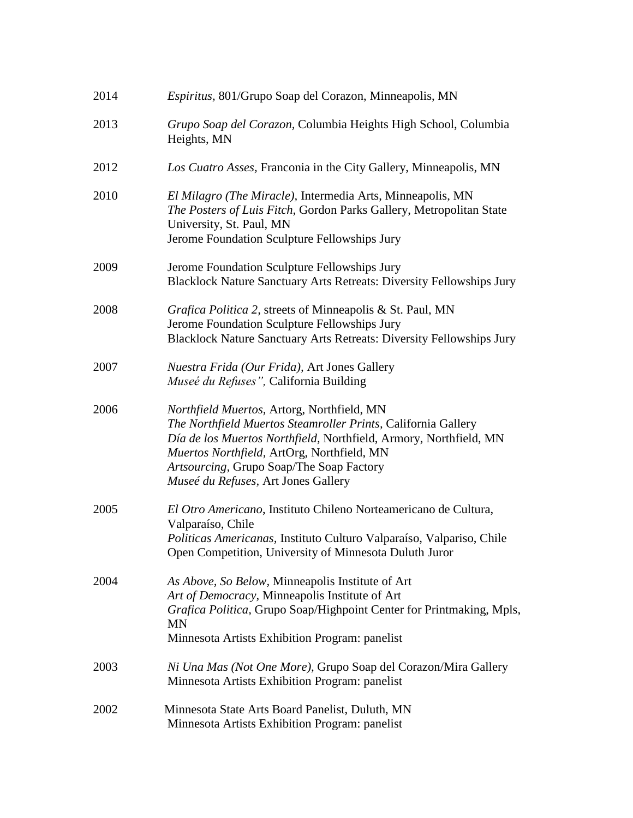| 2014 | Espiritus, 801/Grupo Soap del Corazon, Minneapolis, MN                                                                                                                                                                                                                                                            |
|------|-------------------------------------------------------------------------------------------------------------------------------------------------------------------------------------------------------------------------------------------------------------------------------------------------------------------|
| 2013 | Grupo Soap del Corazon, Columbia Heights High School, Columbia<br>Heights, MN                                                                                                                                                                                                                                     |
| 2012 | Los Cuatro Asses, Franconia in the City Gallery, Minneapolis, MN                                                                                                                                                                                                                                                  |
| 2010 | El Milagro (The Miracle), Intermedia Arts, Minneapolis, MN<br>The Posters of Luis Fitch, Gordon Parks Gallery, Metropolitan State<br>University, St. Paul, MN<br>Jerome Foundation Sculpture Fellowships Jury                                                                                                     |
| 2009 | Jerome Foundation Sculpture Fellowships Jury<br>Blacklock Nature Sanctuary Arts Retreats: Diversity Fellowships Jury                                                                                                                                                                                              |
| 2008 | Grafica Politica 2, streets of Minneapolis & St. Paul, MN<br>Jerome Foundation Sculpture Fellowships Jury<br>Blacklock Nature Sanctuary Arts Retreats: Diversity Fellowships Jury                                                                                                                                 |
| 2007 | Nuestra Frida (Our Frida), Art Jones Gallery<br>Museé du Refuses", California Building                                                                                                                                                                                                                            |
| 2006 | Northfield Muertos, Artorg, Northfield, MN<br>The Northfield Muertos Steamroller Prints, California Gallery<br>Día de los Muertos Northfield, Northfield, Armory, Northfield, MN<br>Muertos Northfield, ArtOrg, Northfield, MN<br>Artsourcing, Grupo Soap/The Soap Factory<br>Museé du Refuses, Art Jones Gallery |
| 2005 | El Otro Americano, Instituto Chileno Norteamericano de Cultura,<br>Valparaíso, Chile<br>Politicas Americanas, Instituto Culturo Valparaíso, Valpariso, Chile<br>Open Competition, University of Minnesota Duluth Juror                                                                                            |
| 2004 | As Above, So Below, Minneapolis Institute of Art<br>Art of Democracy, Minneapolis Institute of Art<br>Grafica Politica, Grupo Soap/Highpoint Center for Printmaking, Mpls,<br>MN<br>Minnesota Artists Exhibition Program: panelist                                                                                |
| 2003 | Ni Una Mas (Not One More), Grupo Soap del Corazon/Mira Gallery<br>Minnesota Artists Exhibition Program: panelist                                                                                                                                                                                                  |
| 2002 | Minnesota State Arts Board Panelist, Duluth, MN<br>Minnesota Artists Exhibition Program: panelist                                                                                                                                                                                                                 |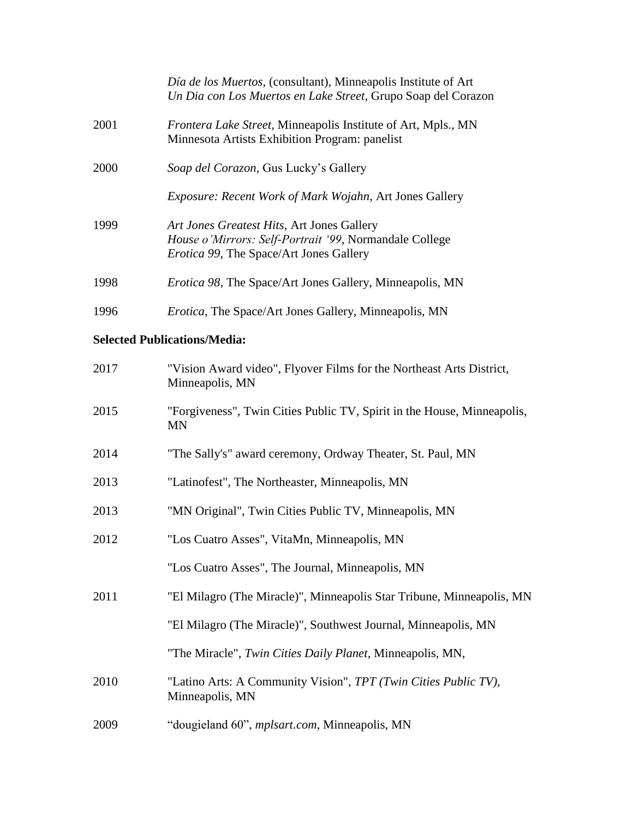|      | Día de los Muertos, (consultant), Minneapolis Institute of Art<br>Un Dia con Los Muertos en Lake Street, Grupo Soap del Corazon                 |
|------|-------------------------------------------------------------------------------------------------------------------------------------------------|
| 2001 | Frontera Lake Street, Minneapolis Institute of Art, Mpls., MN<br>Minnesota Artists Exhibition Program: panelist                                 |
| 2000 | Soap del Corazon, Gus Lucky's Gallery                                                                                                           |
|      | <i>Exposure: Recent Work of Mark Wojahn, Art Jones Gallery</i>                                                                                  |
| 1999 | Art Jones Greatest Hits, Art Jones Gallery<br>House o'Mirrors: Self-Portrait '99, Normandale College<br>Erotica 99, The Space/Art Jones Gallery |
| 1998 | <i>Erotica 98</i> , The Space/Art Jones Gallery, Minneapolis, MN                                                                                |
| 1996 | <i>Erotica</i> , The Space/Art Jones Gallery, Minneapolis, MN                                                                                   |

## **Selected Publications/Media:**

| 2017 | "Vision Award video", Flyover Films for the Northeast Arts District,<br>Minneapolis, MN |
|------|-----------------------------------------------------------------------------------------|
| 2015 | "Forgiveness", Twin Cities Public TV, Spirit in the House, Minneapolis,<br><b>MN</b>    |
| 2014 | "The Sally's" award ceremony, Ordway Theater, St. Paul, MN                              |
| 2013 | "Latinofest", The Northeaster, Minneapolis, MN                                          |
| 2013 | "MN Original", Twin Cities Public TV, Minneapolis, MN                                   |
| 2012 | "Los Cuatro Asses", VitaMn, Minneapolis, MN                                             |
|      | "Los Cuatro Asses", The Journal, Minneapolis, MN                                        |
| 2011 | "El Milagro (The Miracle)", Minneapolis Star Tribune, Minneapolis, MN                   |
|      | "El Milagro (The Miracle)", Southwest Journal, Minneapolis, MN                          |
|      | "The Miracle", Twin Cities Daily Planet, Minneapolis, MN,                               |
| 2010 | "Latino Arts: A Community Vision", TPT (Twin Cities Public TV),<br>Minneapolis, MN      |
| 2009 | "dougieland 60", <i>mplsart.com</i> , Minneapolis, MN                                   |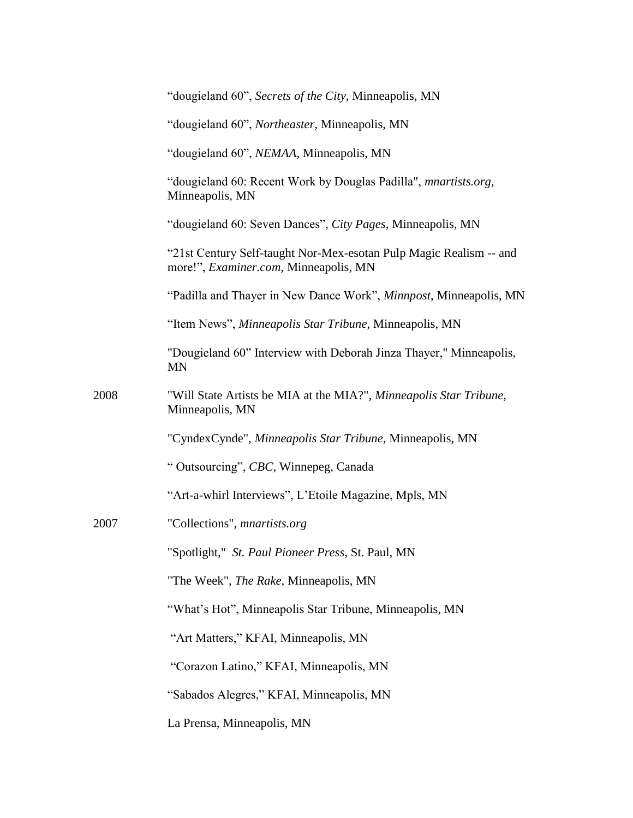|      | "dougieland 60", Secrets of the City, Minneapolis, MN                                                       |
|------|-------------------------------------------------------------------------------------------------------------|
|      | "dougieland 60", Northeaster, Minneapolis, MN                                                               |
|      | "dougieland 60", NEMAA, Minneapolis, MN                                                                     |
|      | "dougieland 60: Recent Work by Douglas Padilla", <i>mnartists.org</i> ,<br>Minneapolis, MN                  |
|      | "dougieland 60: Seven Dances", City Pages, Minneapolis, MN                                                  |
|      | "21st Century Self-taught Nor-Mex-esotan Pulp Magic Realism -- and<br>more!", Examiner.com, Minneapolis, MN |
|      | "Padilla and Thayer in New Dance Work", Minnpost, Minneapolis, MN                                           |
|      | "Item News", Minneapolis Star Tribune, Minneapolis, MN                                                      |
|      | "Dougieland 60" Interview with Deborah Jinza Thayer," Minneapolis,<br><b>MN</b>                             |
| 2008 | "Will State Artists be MIA at the MIA?", Minneapolis Star Tribune,<br>Minneapolis, MN                       |
|      | "CyndexCynde", Minneapolis Star Tribune, Minneapolis, MN                                                    |
|      | " Outsourcing", CBC, Winnepeg, Canada                                                                       |
|      | "Art-a-whirl Interviews", L'Etoile Magazine, Mpls, MN                                                       |
| 2007 | "Collections", <i>mnartists.org</i>                                                                         |
|      | "Spotlight," St. Paul Pioneer Press, St. Paul, MN                                                           |
|      | "The Week", The Rake, Minneapolis, MN                                                                       |
|      | "What's Hot", Minneapolis Star Tribune, Minneapolis, MN                                                     |
|      | "Art Matters," KFAI, Minneapolis, MN                                                                        |
|      | "Corazon Latino," KFAI, Minneapolis, MN                                                                     |
|      | "Sabados Alegres," KFAI, Minneapolis, MN                                                                    |
|      | La Prensa, Minneapolis, MN                                                                                  |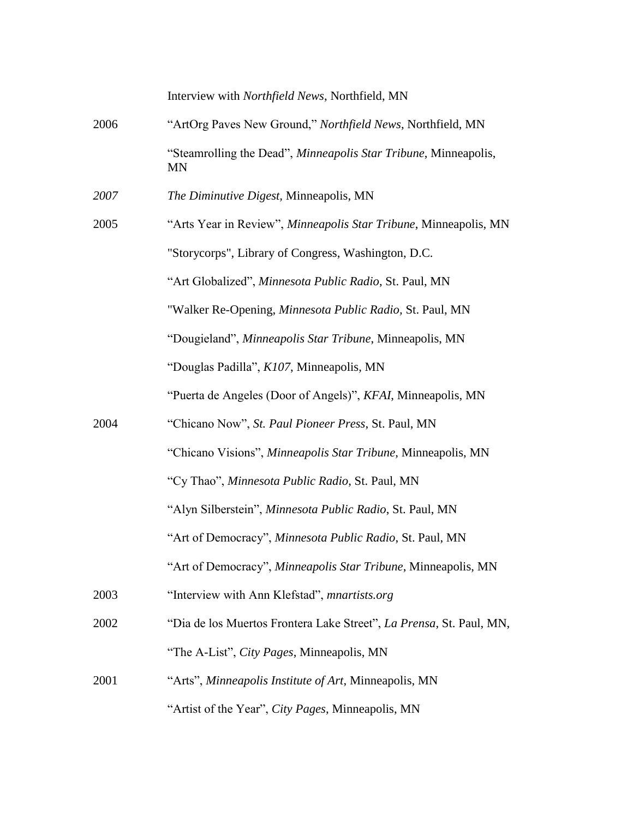|      | Interview with Northfield News, Northfield, MN                               |
|------|------------------------------------------------------------------------------|
| 2006 | "ArtOrg Paves New Ground," Northfield News, Northfield, MN                   |
|      | "Steamrolling the Dead", Minneapolis Star Tribune, Minneapolis,<br><b>MN</b> |
| 2007 | The Diminutive Digest, Minneapolis, MN                                       |
| 2005 | "Arts Year in Review", Minneapolis Star Tribune, Minneapolis, MN             |
|      | "Storycorps", Library of Congress, Washington, D.C.                          |
|      | "Art Globalized", Minnesota Public Radio, St. Paul, MN                       |
|      | "Walker Re-Opening, Minnesota Public Radio, St. Paul, MN                     |
|      | "Dougieland", Minneapolis Star Tribune, Minneapolis, MN                      |
|      | "Douglas Padilla", K107, Minneapolis, MN                                     |
|      | "Puerta de Angeles (Door of Angels)", KFAI, Minneapolis, MN                  |
| 2004 | "Chicano Now", St. Paul Pioneer Press, St. Paul, MN                          |
|      | "Chicano Visions", Minneapolis Star Tribune, Minneapolis, MN                 |
|      | "Cy Thao", Minnesota Public Radio, St. Paul, MN                              |
|      | "Alyn Silberstein", Minnesota Public Radio, St. Paul, MN                     |
|      | "Art of Democracy", Minnesota Public Radio, St. Paul, MN                     |
|      | "Art of Democracy", Minneapolis Star Tribune, Minneapolis, MN                |
| 2003 | "Interview with Ann Klefstad", mnartists.org                                 |
| 2002 | "Dia de los Muertos Frontera Lake Street", La Prensa, St. Paul, MN,          |
|      | "The A-List", City Pages, Minneapolis, MN                                    |
| 2001 | "Arts", Minneapolis Institute of Art, Minneapolis, MN                        |
|      | "Artist of the Year", City Pages, Minneapolis, MN                            |